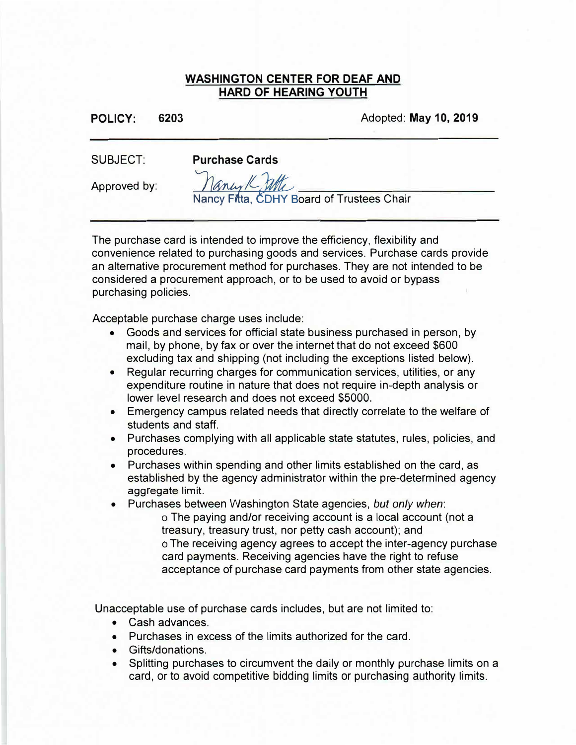## **WASHINGTON CENTER FOR DEAF AND HARD OF HEARING YOUTH**

**POLICY: 6203** Adopted: **May 10, 2019** 

SUBJECT:

**Purchase Cards** 

Approved by:

Nancy Fitta, CDHY Board of Trustees Chair

The purchase card is intended to improve the efficiency, flexibility and convenience related to purchasing goods and services. Purchase cards provide an alternative procurement method for purchases. They are not intended to be considered a procurement approach, or to be used to avoid or bypass purchasing policies.

Acceptable purchase charge uses include:

- Goods and services for official state business purchased in person, by mail, by phone, by fax or over the internet that do not exceed \$600 excluding tax and shipping (not including the exceptions listed below).
- Regular recurring charges for communication services, utilities, or any expenditure routine in nature that does not require in-depth analysis or lower level research and does not exceed \$5000.
- Emergency campus related needs that directly correlate to the welfare of students and staff.
- Purchases complying with all applicable state statutes, rules, policies, and procedures.
- Purchases within spending and other limits established on the card, as established by the agency administrator within the pre-determined agency aggregate limit.
- • Purchases between Washington State agencies, *but only when:*
	- <sup>o</sup> The paying and/or receiving account is a local account (not a treasury, treasury trust, nor petty cash account); and <sup>o</sup> The receiving agency agrees to accept the inter-agency purchase card payments. Receiving agencies have the right to refuse acceptance of purchase card payments from other state agencies.

Unacceptable use of purchase cards includes, but are not limited to:

- Cash advances.
- Purchases in excess of the limits authorized for the card.
- Gifts/donations.
- Splitting purchases to circumvent the daily or monthly purchase limits on a card, or to avoid competitive bidding limits or purchasing authority limits.